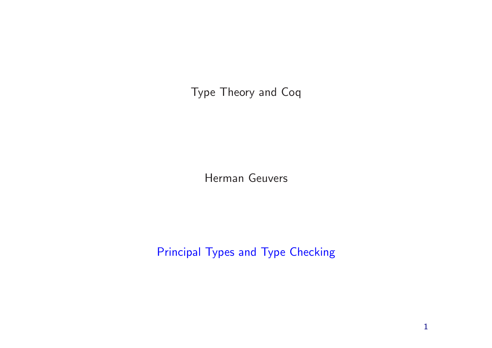Type Theory and Coq

Herman Geuvers

Principal Types and Type Checking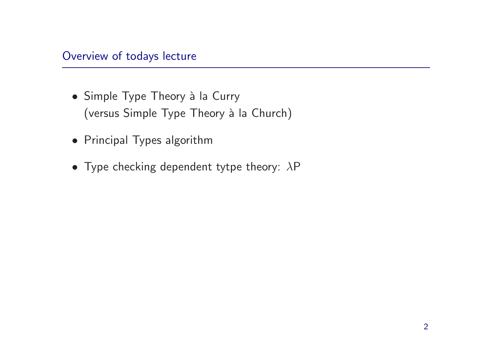#### Overview of todays lecture

- Simple Type Theory à la Curry (versus Simple Type Theory à la Church)
- Principal Types algorithm
- Type checking dependent tytpe theory:  $\lambda P$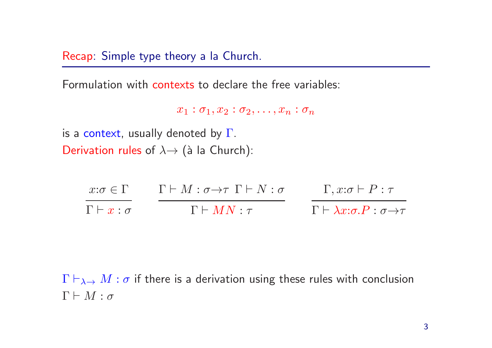Recap: Simple type theory <sup>a</sup> la Church.

Formulation with contexts to declare the free variables:

```
x_1 : \sigma_1, x_2 : \sigma_2, \ldots, x_n : \sigma_n
```
is a context, usually denoted by  $\Gamma.$ Derivation rules of  $\lambda \rightarrow$  (à la Church):

$$
\frac{x:\sigma \in \Gamma}{\Gamma \vdash x:\sigma} \qquad \frac{\Gamma \vdash M : \sigma \to \tau \Gamma \vdash N : \sigma}{\Gamma \vdash MN : \tau} \qquad \frac{\Gamma, x:\sigma \vdash P : \tau}{\Gamma \vdash \lambda x:\sigma.P : \sigma \to \tau}
$$

 $\Gamma\vdash_{\lambda\to} M:\sigma$  if there is a derivation using these rules with conclusion  $\Gamma \vdash M : \sigma$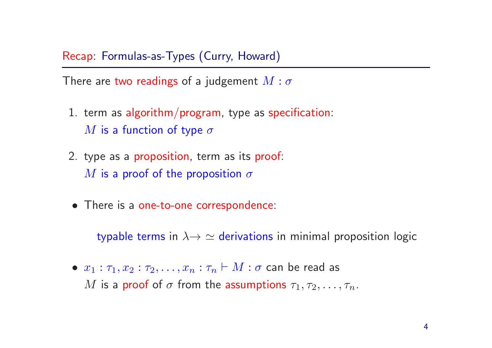Recap: Formulas-as-Types (Curry, Howard)

There are two readings of a judgement  $M:\sigma^2$ 

- 1. term as algorithm/program, type as specification:  $\overline{M}$  is a function of type  $\sigma$
- 2. type as <sup>a</sup> proposition, term as its proof:  $\overline{M}$  is a proof of the proposition  $\sigma$
- There is a one-to-one correspondence:

typable terms in  $\lambda{\to}\simeq$  derivations in minimal proposition logic

 $\bullet$   $x_1 : \tau_1, x_2 : \tau_2, \ldots, x_n : \tau_n \vdash M : \sigma$  can be read as M is a proof of  $\sigma$  from the assumptions  $\tau_1, \tau_2, \ldots, \tau_n$ .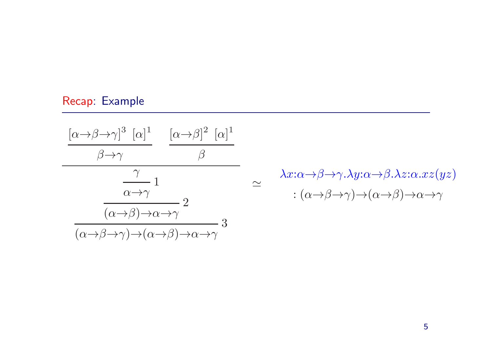# Recap: Example

$$
\frac{[\alpha \rightarrow \beta \rightarrow \gamma]^3 [\alpha]^1}{\beta \rightarrow \gamma} \frac{[\alpha \rightarrow \beta]^2 [\alpha]^1}{\beta}
$$

$$
\frac{\gamma}{\alpha \rightarrow \gamma} 1
$$

$$
\frac{\alpha \rightarrow \gamma}{(\alpha \rightarrow \beta) \rightarrow \alpha \rightarrow \gamma} 2
$$

$$
\frac{\alpha \rightarrow \beta \rightarrow \alpha \rightarrow \gamma}{(\alpha \rightarrow \beta \rightarrow \gamma) \rightarrow (\alpha \rightarrow \beta) \rightarrow \alpha \rightarrow \gamma} 3
$$

 $\simeq$ 

 $\lambda x{:}\alpha { \rightarrow } \beta { \rightarrow } \gamma . \lambda y{:}\alpha { \rightarrow } \beta . \lambda z{:}\alpha . xz{(} yz{)}$ :  $(\alpha \rightarrow \beta \rightarrow \gamma) \rightarrow (\alpha \rightarrow \beta) \rightarrow \alpha \rightarrow \gamma$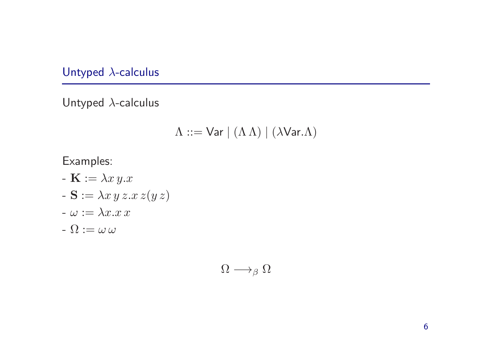Untyped λ-calculus

Untyped λ-calculus

$$
\Lambda ::= \mathsf{Var} \mid (\Lambda \Lambda) \mid (\lambda \mathsf{Var}.\Lambda)
$$

Examples:

-  $\mathbf{K} := \lambda x y \cdot x$  $\mathbf{S} := \lambda x y z \mathbf{x} z(y z)$  $-\omega := \lambda x.x x$  $-\Omega := \omega \, \omega$ 

 $\Omega \longrightarrow_{\beta} \Omega$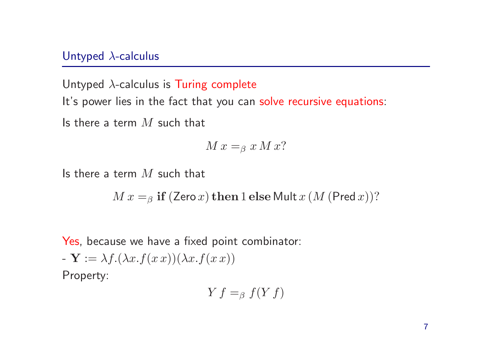#### Untyped  $\lambda$ -calculus

Untyped  $\lambda$ -calculus is Turing complete

It's power lies in the fact that you can solve recursive equations:

Is there a term  $M$  such that

$$
M x =_{\beta} x M x?
$$

Is there a term  $M$  such that

$$
M x =_{\beta} \mathbf{if} (\mathsf{Zero}\,x) \mathbf{then} 1 \mathbf{else} \mathsf{Mult}\,x \left( M \left( \mathsf{Pred}\,x \right) \right) ?
$$

Yes, because we have <sup>a</sup> fixed point combinator:  $-\mathbf{Y} := \lambda f.(\lambda x.f(x\,))(\lambda x.f(x\, x))$ Property:

$$
Y f =_{\beta} f(Y f)
$$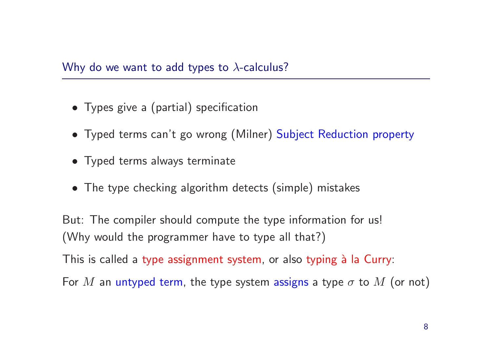Why do we want to add types to  $\lambda$ -calculus?

- Types give a (partial) specification
- Typed terms can't go wrong (Milner) Subject Reduction property
- Typed terms always terminate
- The type checking algorithm detects (simple) mistakes

But: The compiler should compute the type information for us! (Why would the programmer have to type all that?)

This is called a type assignment system, or also typing à la Curry:

For  $M$  an untyped term, the type system assigns a type  $\sigma$  to  $M$  (or not)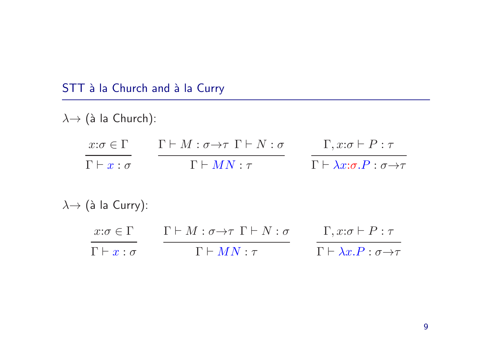# STT à la Church and à la Curry

 $\lambda \rightarrow$  (à la Church):  $x:\sigma \in \Gamma$   $\Gamma \vdash M : \sigma \rightarrow \tau \Gamma \vdash N : \sigma$  $\Gamma \vdash x : \sigma$   $\Gamma \vdash MN : \tau$  $\Gamma, x \mathpunct{:}\! \sigma \vdash P : \tau$  $\Gamma \vdash \lambda x{:}\sigma.P : \sigma \rightarrow \tau$ 

 $\lambda \rightarrow$  (à la Curry):

| $x:\sigma\in\Gamma$        | $\Gamma \vdash M : \sigma \rightarrow \tau \Gamma \vdash N : \sigma$ | $\Gamma, x:\sigma \vdash P : \tau$                    |
|----------------------------|----------------------------------------------------------------------|-------------------------------------------------------|
| $\Gamma \vdash x : \sigma$ | $\Gamma \vdash MN : \tau$                                            | $\Gamma \vdash \lambda x.P : \sigma \rightarrow \tau$ |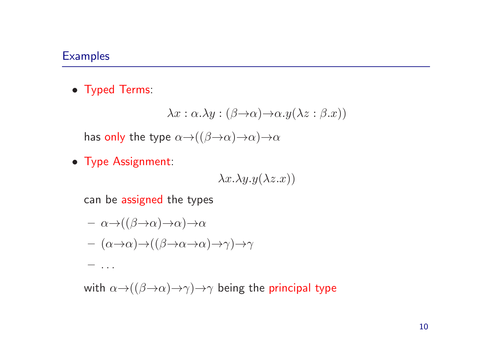#### **Examples**

• Typed Terms:

$$
\lambda x : \alpha . \lambda y : (\beta \rightarrow \alpha) \rightarrow \alpha . y (\lambda z : \beta . x))
$$

has only the type  $\alpha \rightarrow ((\beta \rightarrow \alpha) \rightarrow \alpha) \rightarrow \alpha$ 

• Type Assignment:

 $-$  . . . .

$$
\lambda x.\lambda y.y(\lambda z.x))
$$

can be assigned the types

$$
- \alpha \rightarrow ((\beta \rightarrow \alpha) \rightarrow \alpha) \rightarrow \alpha
$$
  

$$
- (\alpha \rightarrow \alpha) \rightarrow ((\beta \rightarrow \alpha \rightarrow \alpha) \rightarrow \gamma) \rightarrow \gamma
$$

with  $\alpha \rightarrow ((\beta \rightarrow \alpha) \rightarrow \gamma) \rightarrow \gamma$  being the principal type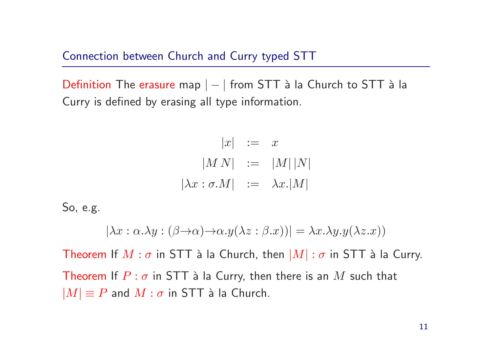Connection between Church and Curry typed STT

Definition The erasure map  $|-|$  from STT à la Church to STT à la Curry is defined by erasing all type information.

$$
|x| := x
$$
  
\n
$$
|MN| := |M| |N|
$$
  
\n
$$
|\lambda x : \sigma.M| := \lambda x. |M|
$$

So, e.g.

$$
|\lambda x : \alpha . \lambda y : (\beta \to \alpha) \to \alpha . y (\lambda z : \beta . x))| = \lambda x . \lambda y . y (\lambda z . x))
$$

Theorem If  $M:\sigma$  in STT à la Church, then  $|M|:\sigma$  in STT à la Curry. Theorem If  $P:\sigma$  in STT à la Curry, then there is an  $M$  such that  $|M| \equiv P$  and  $M:\sigma$  in STT à la Church.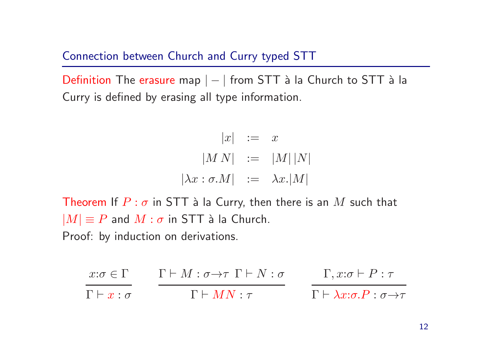Connection between Church and Curry typed STT

Definition The erasure map  $|-|$  from STT à la Church to STT à la Curry is defined by erasing all type information.

$$
|x| := x
$$
  
\n
$$
|MN| := |M| |N|
$$
  
\n
$$
|\lambda x : \sigma.M| := \lambda x. |M|
$$

Theorem If  $P:\sigma$  in STT à la Curry, then there is an  $M$  such that  $|M| \equiv P$  and  $M:\sigma$  in STT à la Church. Proof: by induction on derivations.

$$
\frac{x:\sigma \in \Gamma}{\Gamma \vdash x:\sigma} \qquad \frac{\Gamma \vdash M : \sigma \to \tau \Gamma \vdash N : \sigma}{\Gamma \vdash MN : \tau} \qquad \frac{\Gamma, x:\sigma \vdash P : \tau}{\Gamma \vdash \lambda x:\sigma.P : \sigma \to \tau}
$$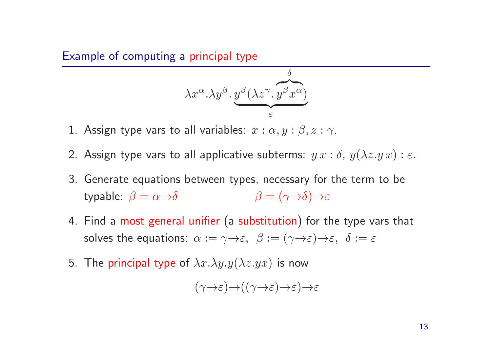Example of computing <sup>a</sup> principal type



- 1. Assign type vars to all variables:  $x : \alpha, y : \beta, z : \gamma$ .
- 2. Assign type vars to all applicative subterms:  $y x : \delta$ ,  $y(\lambda z.y x) : \varepsilon$ .
- 3. Generate equations between types, necessary for the term to be typable:  $\beta = \alpha \rightarrow \delta$   $\beta = (\gamma \rightarrow \delta) \rightarrow \varepsilon$
- 4. Find <sup>a</sup> most genera<sup>l</sup> unifier (a substitution) for the type vars that solves the equations:  $\alpha := \gamma \rightarrow \varepsilon$ ,  $\beta := (\gamma \rightarrow \varepsilon) \rightarrow \varepsilon$ ,  $\delta := \varepsilon$
- 5. The principal type of  $\lambda x.\lambda y.y(\lambda z.yx)$  is now

$$
(\gamma{\to}\varepsilon){\to}((\gamma{\to}\varepsilon){\to}\varepsilon){\to}\varepsilon
$$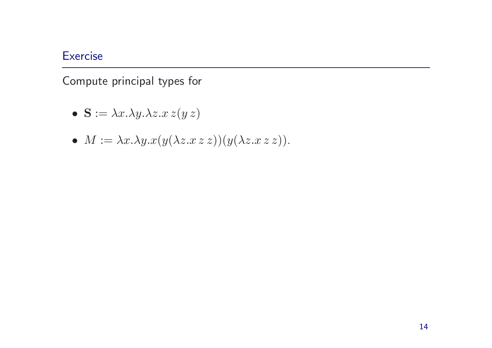### **Exercise**

Compute principal types for

- $\mathbf{S} := \lambda x.\lambda y.\lambda z.xz(yz)$
- $M := \lambda x. \lambda y. x(y(\lambda z. x z z))(y(\lambda z. x z z)).$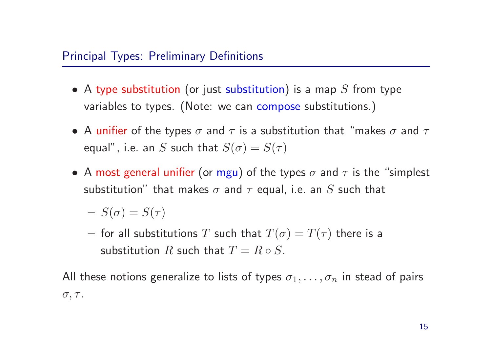- $\bullet\,$  A type substitution (or just substitution) is a map  $S$  from type variables to types. (Note: we can compose substitutions.)
- $\bullet$  A unifier of the types  $\sigma$  and  $\tau$  is a substitution that "makes  $\sigma$  and  $\tau$ equal", i.e. an  $S$  such that  $S(\sigma)=S(\tau)$
- $\bullet\,$  A most general unifier (or mgu) of the types  $\sigma$  and  $\tau$  is the "simplest substitution" that makes  $\sigma$  and  $\tau$  equal, i.e. an  $S$  such that
	- $-S(\sigma)=S(\tau)$
	- $-$  for all substitutions  $T$  such that  $T(\sigma)=T(\tau)$  there is a substitution  $R$  such that  $T=R\circ S.$

All these notions generalize to lists of types  $\sigma_1,\ldots,\sigma_n$  in stead of pairs  $\sigma, \tau.$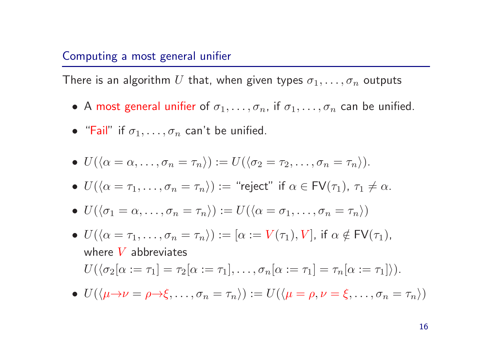#### Computing <sup>a</sup> most general unifier

There is an algorithm  $U$  that, when given types  $\sigma_1,\ldots,\sigma_n$  outputs

- $\bullet$  A most general unifier of  $\sigma_1,\ldots,\sigma_n$ , if  $\sigma_1,\ldots,\sigma_n$  can be unified.
- $\bullet$  "Fail" if  $\sigma_1,\ldots,\sigma_n$  can't be unified.

• 
$$
U(\langle \alpha = \alpha, \ldots, \sigma_n = \tau_n \rangle) := U(\langle \sigma_2 = \tau_2, \ldots, \sigma_n = \tau_n \rangle).
$$

 $\bullet$   $U(\langle\alpha=\tau_1,\ldots,\sigma_n=\tau_n\rangle):=$  "reject" if  $\alpha\in\mathsf{FV}(\tau_1)$ ,  $\tau_1\neq\alpha.$ 

• 
$$
U(\langle \sigma_1 = \alpha, \ldots, \sigma_n = \tau_n \rangle) := U(\langle \alpha = \sigma_1, \ldots, \sigma_n = \tau_n \rangle)
$$

- $\bullet\,\ U(\langle\alpha=\tau_1,\ldots,\sigma_n=\tau_n\rangle):=[\alpha:=V(\tau_1),V],\text{ if }\alpha\notin\mathsf{FV}(\tau_1),$ where  $V$  abbreviates  $U(\langle \sigma_2[\alpha:=\tau_1]=\tau_2[\alpha:=\tau_1],\ldots,\sigma_n[\alpha:=\tau_1]=\tau_n[\alpha:=\tau_1]\rangle).$
- $U(\langle \mu \rightarrow \nu = \rho \rightarrow \xi, \ldots, \sigma_n = \tau_n \rangle) := U(\langle \mu = \rho, \nu = \xi, \ldots, \sigma_n = \tau_n \rangle)$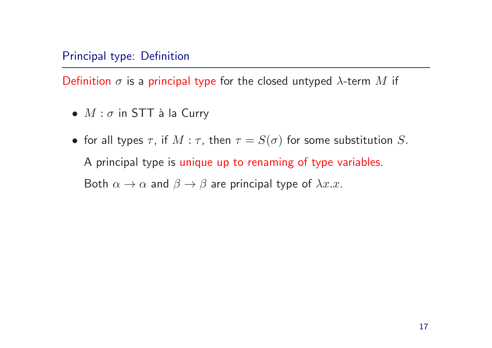### Principal type: Definition

Definition  $\sigma$  is a principal type for the closed untyped  $\lambda$ -term M if

- $M : \sigma$  in STT à la Curry
- for all types  $\tau$ , if  $M : \tau$ , then  $\tau = S(\sigma)$  for some substitution S. A principal type is unique up to renaming of type variables. Both  $\alpha \to \alpha$  and  $\beta \to \beta$  are principal type of  $\lambda x.x$ .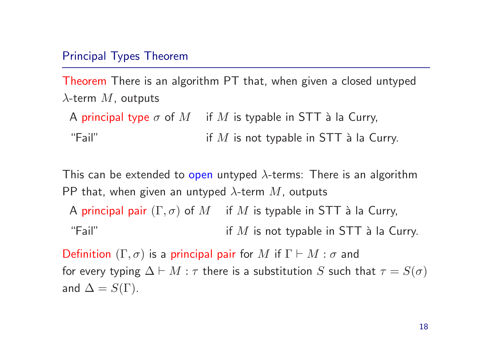#### Principal Types Theorem

Theorem There is an algorithm PT that, when given a closed untyped  $\lambda$ -term  $M$ , outputs

A principal type  $\sigma$  of  $M$  if  $M$  is typable in STT à la Curry, "Fail"  $\vdots$  if M is not typable in STT à la Curry.

This can be extended to open untyped  $\lambda$ -terms: There is an algorithm PP that, when given an untyped  $\lambda$ -term  $M$ , outputs

A principal pair  $(\Gamma, \sigma)$  of M if M is typable in STT à la Curry, "Fail"  $\blacksquare$  if  $M$  is not typable in STT à la Curry.

Definition  $(\Gamma, \sigma)$  is a principal pair for M if  $\Gamma \vdash M : \sigma$  and for every typing  $\Delta \vdash M : \tau$  there is a substitution S such that  $\tau = S(\sigma)$ and  $\Delta = S(\Gamma)$ .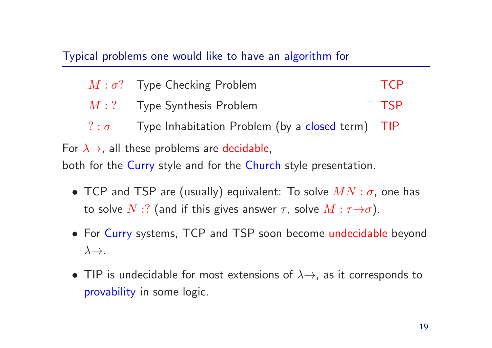## Typical problems one would like to have an algorithm for

|                                                                                                                                  | $M : \sigma$ ? Type Checking Problem                          | <b>TCP</b> |  |
|----------------------------------------------------------------------------------------------------------------------------------|---------------------------------------------------------------|------------|--|
|                                                                                                                                  | $M: ?$ Type Synthesis Problem                                 | <b>TSP</b> |  |
|                                                                                                                                  | $? : \sigma$ Type Inhabitation Problem (by a closed term) TIP |            |  |
| For $\lambda \rightarrow$ , all these problems are decidable,<br>both for the Curry style and for the Church style presentation. |                                                               |            |  |

- TCP and TSP are (usually) equivalent: To solve  $MN : \sigma$ , one has to solve  $N$  :? (and if this gives answer  $\tau$ , solve  $M:\tau{\rightarrow}\sigma).$
- For Curry systems, TCP and TSP soon become undecidable beyond  $\lambda \rightarrow$  .
- $\bullet\,$  TIP is undecidable for most extensions of  $\lambda \rightarrow$ , as it corresponds to provability in some logic.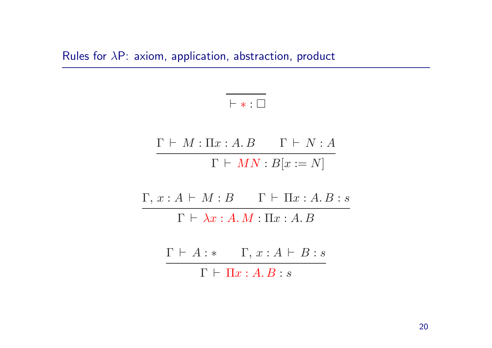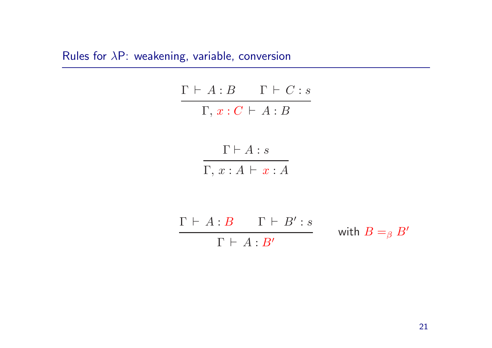$\Gamma \vdash A : B \qquad \Gamma \vdash C : s$  $\Gamma,\, x : C \,\vdash\, A : B$ 

> $\Gamma\vdash A:s$  $\Gamma,\,x:A \,\vdash\, x:A$

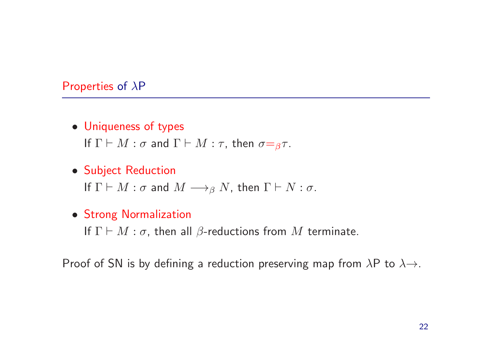#### Properties of λP

- Uniqueness of types If  $\Gamma \vdash M : \sigma$  and  $\Gamma \vdash M : \tau$ , then  $\sigma =_{\beta} \tau$ .
- Subject Reduction If  $\Gamma \vdash M : \sigma$  and  $M \longrightarrow_{\beta} N$ , then  $\Gamma \vdash N : \sigma$ .
- Strong Normalization

If  $\Gamma \vdash M : \sigma$ , then all  $\beta$ -reductions from M terminate.

Proof of SN is by defining a reduction preserving map from  $\lambda$ P to  $\lambda \rightarrow$ .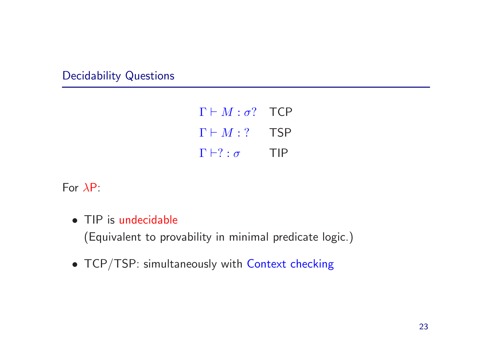Decidability Questions

| $\Gamma \vdash M : \sigma?$ TCP |            |
|---------------------------------|------------|
| $\Gamma \vdash M : ?$           | <b>TSP</b> |
| $\Gamma \vdash ? : \sigma$      | TIP        |

For  $\lambda$ P:

• TIP is undecidable

(Equivalent to provability in minimal predicate logic.)

• TCP/TSP: simultaneously with Context checking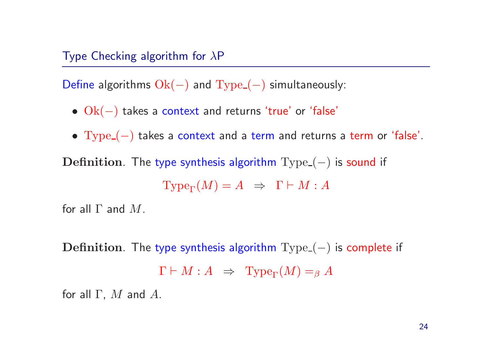Type Checking algorithm for  $\lambda \mathsf{P}$ 

 $\mathsf{Define}$  algorithms  $\mathrm{Ok}(-)$  and  $\mathrm{Type}_{-}(-)$  simultaneously:

- $\bullet$   $\mathrm{Ok}(-)$  takes a context and returns 'true' or 'false'
- $Type_{-}(-)$  takes a context and a term and returns a term or 'false'.

 $\mathbf{Definition}.$  The type synthesis algorithm  $\mathrm{Type}_{\mathsf{I}}(-)$  is sound if

$$
Type_{\Gamma}(M) = A \Rightarrow \Gamma \vdash M : A
$$

for all  $\Gamma$  and  $M.$ 

 $\mathbf{Definition}.$  The type synthesis algorithm  $\mathrm{Type}_{\mathsf{I}}(-)$  is complete if  $\Gamma \vdash M : A \Rightarrow \text{Type}_{\Gamma}(M) =_{\beta} A$ 

for all  $\Gamma$ ,  $M$  and  $A$ .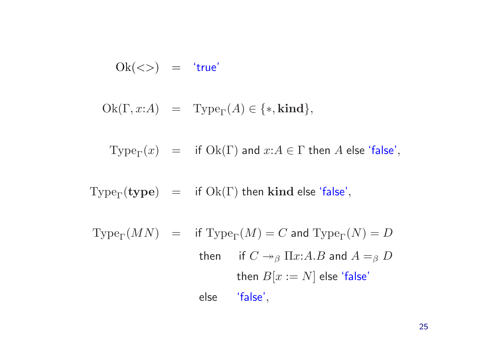$$
Ok(<>) = 'true'
$$

 $Ok(\Gamma, x:A)$  = Type<sub> $\Gamma(A) \in \{*, \text{kind}\},$ </sub>

 $Type_{\Gamma}(x) =$  if  $Ok(\Gamma)$  and  $x:A \in \Gamma$  then A else 'false',

 $Type_{\Gamma} (type) = if Ok(\Gamma) then kind else 'false',$ 

$$
\text{Type}_{\Gamma}(MN) = \text{ if } \text{Type}_{\Gamma}(M) = C \text{ and } \text{Type}_{\Gamma}(N) = D
$$
\n
$$
\text{ then } \text{ if } C \to_{\beta} \Pi x:A.B \text{ and } A =_{\beta} D
$$
\n
$$
\text{ then } B[x := N] \text{ else 'false'}
$$
\n
$$
\text{ else 'false',}
$$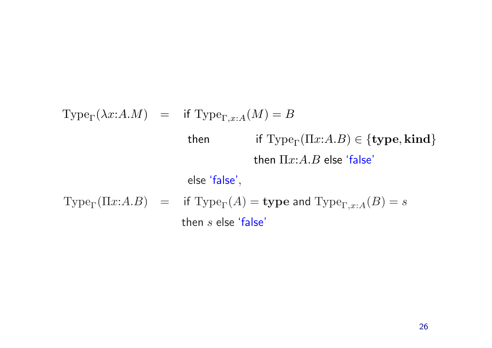Type<sub>Γ</sub>( $\lambda x:A.M$ ) = if Type<sub>Γ,x:A</sub>(M) = B then if  $Type_{\Gamma}(\Pi x:A.B) \in {\text{type}, \text{kind}}$ then  $\Pi x$ : A. B else 'false' else 'false',  $\text{Type}_{\Gamma}(\Pi x:A.B) = \text{if } \text{Type}_{\Gamma}(A) = \text{type and } \text{Type}_{\Gamma,x:A}(B) = s$ then s else 'false'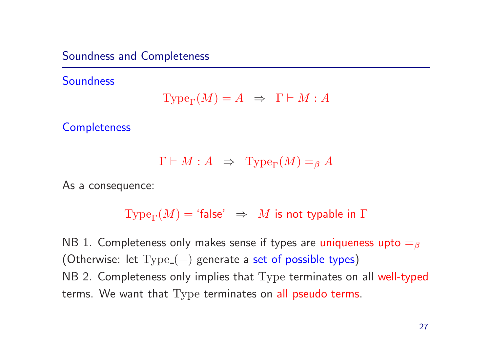Soundness and Completeness

**Soundness** 

$$
Type_{\Gamma}(M) = A \Rightarrow \Gamma \vdash M : A
$$

**Completeness** 

$$
\Gamma \vdash M : A \;\; \Rightarrow \;\; \mathrm{Type}_{\Gamma}(M) =_{\beta} A
$$

As <sup>a</sup> consequence:

 $\mathrm{Type}_\Gamma(M) = \text{`false'} \;\; \Rightarrow \;\; M \text{ is not typable in } \Gamma$ 

 ${\sf NB}$   $1.$  Completeness only makes sense if types are uniqueness upto  $=$  $\beta$  $\left($  Otherwise: let  $\mathrm{Type}_{\text{-}}(-)$  generate a set of possible types) NB 2. Completeness only implies that Type terminates on all well-typed terms. We want that Type terminates on all pseudo terms.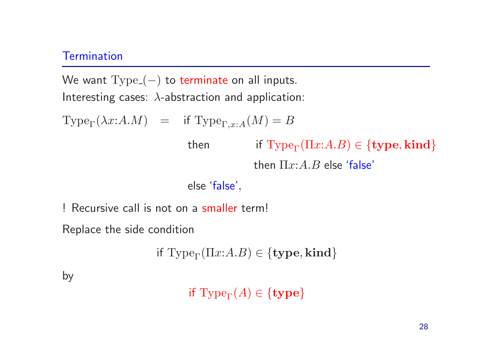## **Termination**

We want  $Type_{-}(-)$  to terminate on all inputs. Interesting cases:  $\lambda$ -abstraction and application:

 $Type_{\Gamma}(\lambda x:A.M) =$  if  $Type_{\Gamma,x:A}(M) = B$ then if  $Type_{\Gamma}(\Pi x:A.B) \in {\text{type}, \text{kind}}$ then  $\Pi x$ : A. B else 'false' else 'false',

! Recursive call is not on <sup>a</sup> smaller term!

Replace the side condition

if  $Type_{\Gamma}(\Pi x:A.B) \in \{\text{type}, \text{kind}\}\$ 

by

if  $Type_{\Gamma}(A) \in \{ \text{type} \}$